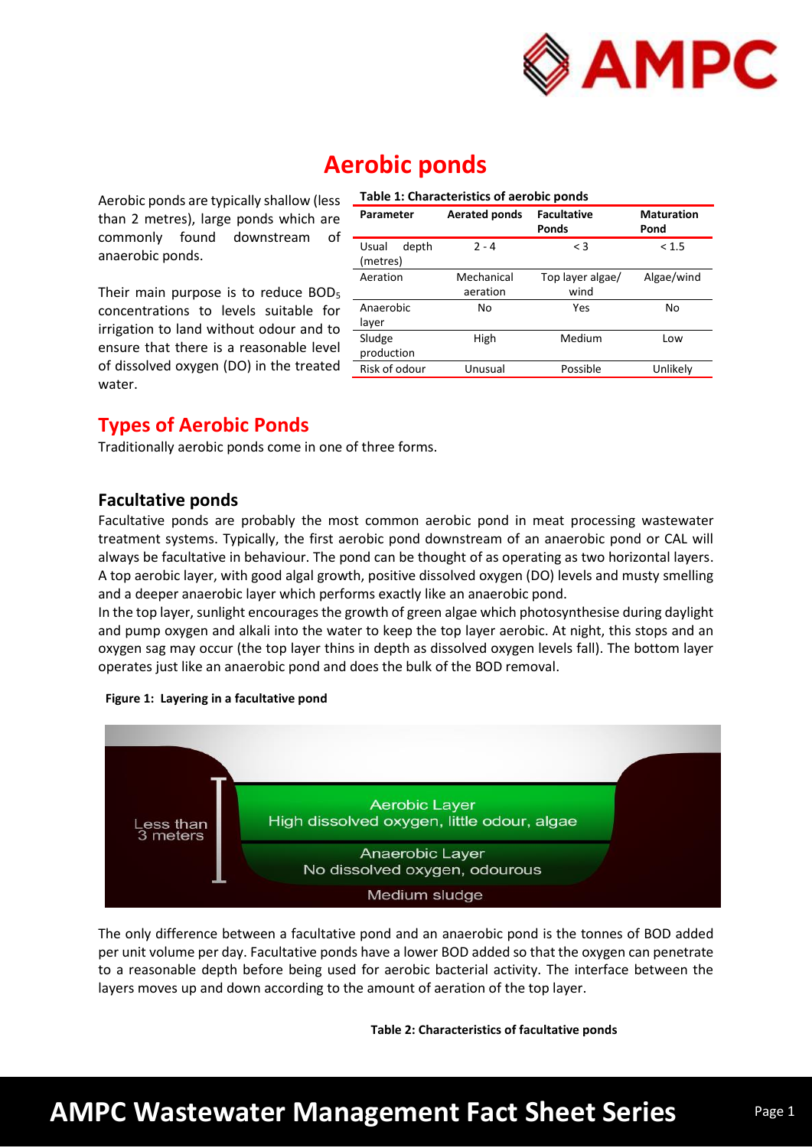

# **Aerobic ponds**

Aerobic ponds are typically shallow (less than 2 metres), large ponds which are commonly found downstream of anaerobic ponds.

Their main purpose is to reduce BOD<sub>5</sub> concentrations to levels suitable for irrigation to land without odour and to ensure that there is a reasonable level of dissolved oxygen (DO) in the treated water.

| Table 1: Characteristics of aerobic ponds |                        |                                    |                           |  |  |
|-------------------------------------------|------------------------|------------------------------------|---------------------------|--|--|
| Parameter                                 | <b>Aerated ponds</b>   | <b>Facultative</b><br><b>Ponds</b> | <b>Maturation</b><br>Pond |  |  |
| depth<br>Usual<br>(metres)                | $2 - 4$                | $\leq$ 3                           | < 1.5                     |  |  |
| Aeration                                  | Mechanical<br>aeration | Top layer algae/<br>wind           | Algae/wind                |  |  |
| Anaerobic<br>layer                        | No                     | Yes                                | No                        |  |  |
| Sludge<br>production                      | High                   | Medium                             | Low                       |  |  |
| Risk of odour                             | Unusual                | Possible                           | Unlikely                  |  |  |

## **Types of Aerobic Ponds**

Traditionally aerobic ponds come in one of three forms.

## **Facultative ponds**

Facultative ponds are probably the most common aerobic pond in meat processing wastewater treatment systems. Typically, the first aerobic pond downstream of an anaerobic pond or CAL will always be facultative in behaviour. The pond can be thought of as operating as two horizontal layers. A top aerobic layer, with good algal growth, positive dissolved oxygen (DO) levels and musty smelling and a deeper anaerobic layer which performs exactly like an anaerobic pond.

In the top layer, sunlight encourages the growth of green algae which photosynthesise during daylight and pump oxygen and alkali into the water to keep the top layer aerobic. At night, this stops and an oxygen sag may occur (the top layer thins in depth as dissolved oxygen levels fall). The bottom layer operates just like an anaerobic pond and does the bulk of the BOD removal.





The only difference between a facultative pond and an anaerobic pond is the tonnes of BOD added per unit volume per day. Facultative ponds have a lower BOD added so that the oxygen can penetrate to a reasonable depth before being used for aerobic bacterial activity. The interface between the layers moves up and down according to the amount of aeration of the top layer.

**Table 2: Characteristics of facultative ponds**

# **AMPC Wastewater Management Fact Sheet Series**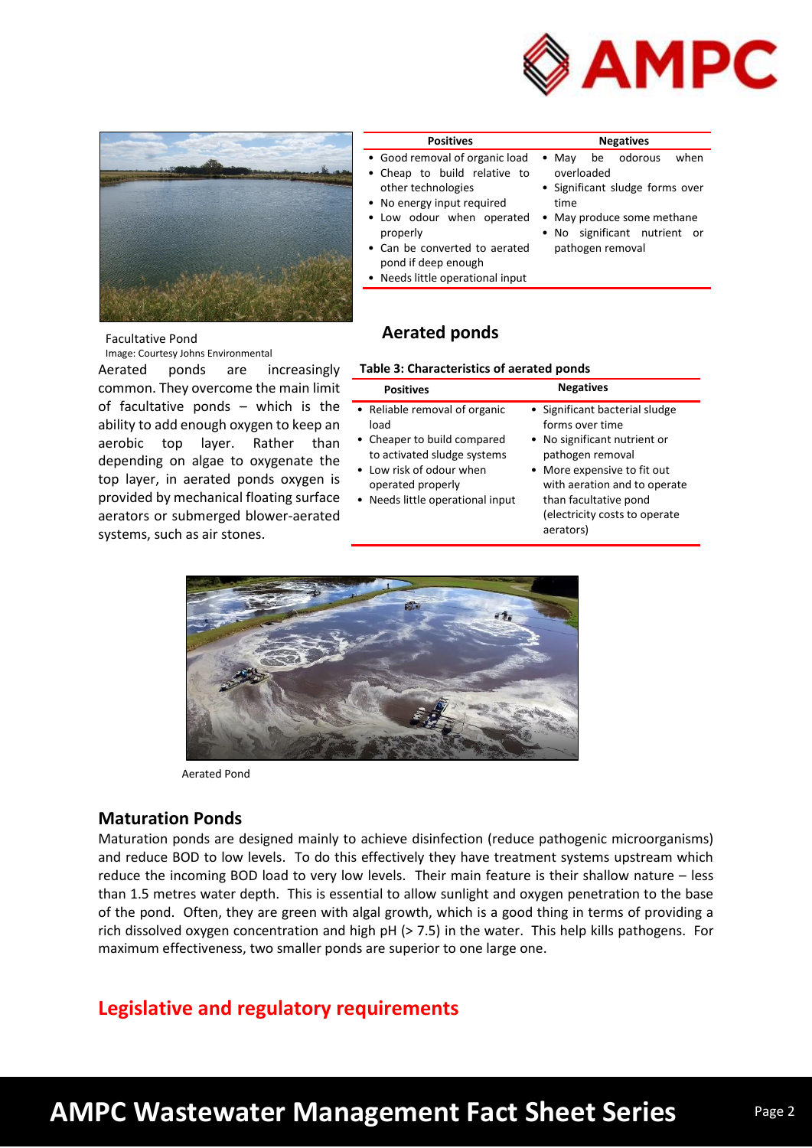



#### **Positives Negatives** • Good removal of organic load Cheap to build relative to overloaded

- other technologies • No energy input required
- Low odour when operated May produce some methane properly
- Can be converted to aerated pond if deep enough
- Needs little operational input

**Aerated ponds**

- May be odorous when
	- Significant sludge forms over time
	-
	- No significant nutrient or pathogen removal

### Facultative Pond

Image: Courtesy Johns Environmental

## Aerated ponds are increasingly common. They overcome the main limit of facultative ponds – which is the ability to add enough oxygen to keep an aerobic top layer. Rather than depending on algae to oxygenate the top layer, in aerated ponds oxygen is provided by mechanical floating surface aerators or submerged blower-aerated

systems, such as air stones.

| Table 3: Characteristics of aerated ponds |  |  |
|-------------------------------------------|--|--|

| <b>Positives</b>                                                                                                                                                                         | <b>Negatives</b>                                                                                                                                                                                                                            |
|------------------------------------------------------------------------------------------------------------------------------------------------------------------------------------------|---------------------------------------------------------------------------------------------------------------------------------------------------------------------------------------------------------------------------------------------|
| • Reliable removal of organic<br>load<br>• Cheaper to build compared<br>to activated sludge systems<br>• Low risk of odour when<br>operated properly<br>• Needs little operational input | • Significant bacterial sludge<br>forms over time<br>• No significant nutrient or<br>pathogen removal<br>• More expensive to fit out<br>with aeration and to operate<br>than facultative pond<br>(electricity costs to operate<br>aerators) |



Aerated Pond

## **Maturation Ponds**

Maturation ponds are designed mainly to achieve disinfection (reduce pathogenic microorganisms) and reduce BOD to low levels. To do this effectively they have treatment systems upstream which reduce the incoming BOD load to very low levels. Their main feature is their shallow nature – less than 1.5 metres water depth. This is essential to allow sunlight and oxygen penetration to the base of the pond. Often, they are green with algal growth, which is a good thing in terms of providing a rich dissolved oxygen concentration and high pH (> 7.5) in the water. This help kills pathogens. For maximum effectiveness, two smaller ponds are superior to one large one.

## **Legislative and regulatory requirements**

# **AMPC Wastewater Management Fact Sheet Series**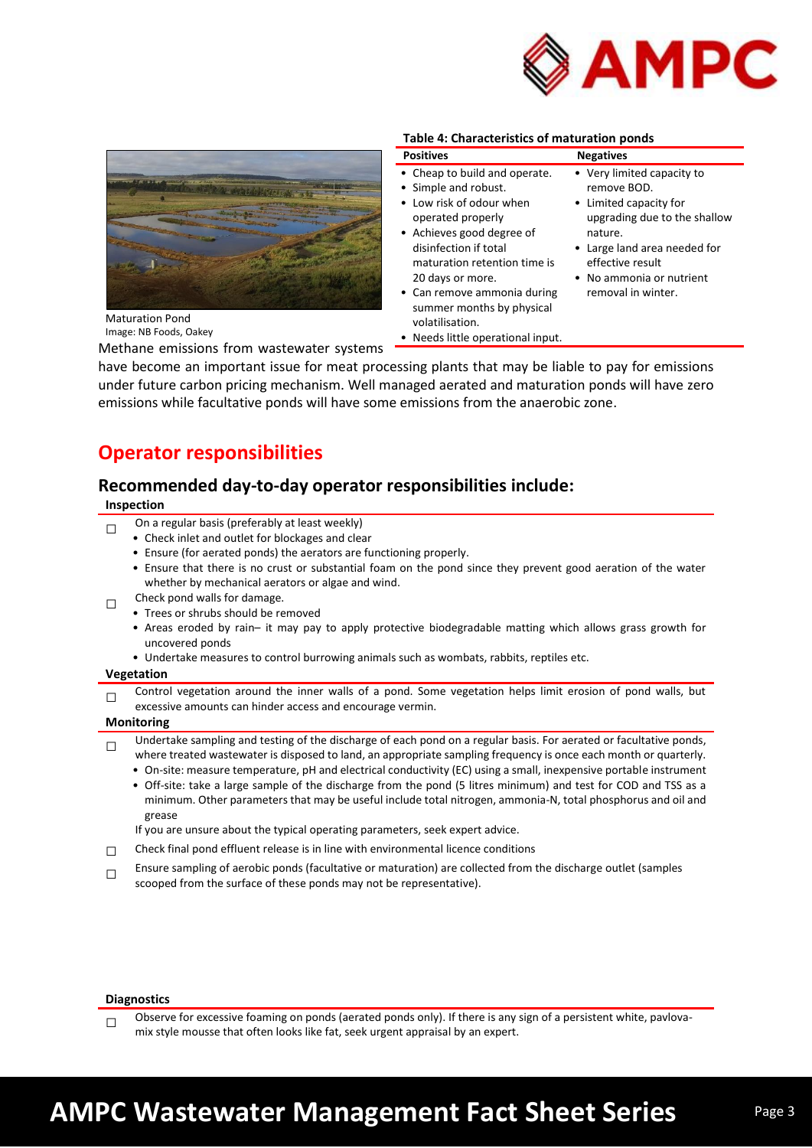



**Table 4: Characteristics of maturation ponds**

| <b>Positives</b>                                                                                                                                                                                                                                                                                                                     | <b>Negatives</b>                                                                                                                                                                                                     |
|--------------------------------------------------------------------------------------------------------------------------------------------------------------------------------------------------------------------------------------------------------------------------------------------------------------------------------------|----------------------------------------------------------------------------------------------------------------------------------------------------------------------------------------------------------------------|
| • Cheap to build and operate.<br>• Simple and robust.<br>• Low risk of odour when<br>operated properly<br>• Achieves good degree of<br>disinfection if total<br>maturation retention time is<br>20 days or more.<br>• Can remove ammonia during<br>summer months by physical<br>volatilisation.<br>• Needs little operational input. | • Very limited capacity to<br>remove BOD.<br>• Limited capacity for<br>upgrading due to the shallow<br>nature.<br>• Large land area needed for<br>effective result<br>• No ammonia or nutrient<br>removal in winter. |

Maturation Pond Image: NB Foods, Oakey

Methane emissions from wastewater systems

have become an important issue for meat processing plants that may be liable to pay for emissions under future carbon pricing mechanism. Well managed aerated and maturation ponds will have zero emissions while facultative ponds will have some emissions from the anaerobic zone.

## **Operator responsibilities**

## **Recommended day-to-day operator responsibilities include:**

**Inspection** 

- $\Box$ On a regular basis (preferably at least weekly)
	- Check inlet and outlet for blockages and clear
	- Ensure (for aerated ponds) the aerators are functioning properly.
	- Ensure that there is no crust or substantial foam on the pond since they prevent good aeration of the water whether by mechanical aerators or algae and wind.
- □ Check pond walls for damage.
	- Trees or shrubs should be removed
	- Areas eroded by rain– it may pay to apply protective biodegradable matting which allows grass growth for uncovered ponds
	- Undertake measures to control burrowing animals such as wombats, rabbits, reptiles etc.

### **Vegetation**

□ Control vegetation around the inner walls of a pond. Some vegetation helps limit erosion of pond walls, but excessive amounts can hinder access and encourage vermin.

### **Monitoring**

- □ Undertake sampling and testing of the discharge of each pond on a regular basis. For aerated or facultative ponds, where treated wastewater is disposed to land, an appropriate sampling frequency is once each month or quarterly.
	- On-site: measure temperature, pH and electrical conductivity (EC) using a small, inexpensive portable instrument
	- Off-site: take a large sample of the discharge from the pond (5 litres minimum) and test for COD and TSS as a minimum. Other parameters that may be useful include total nitrogen, ammonia-N, total phosphorus and oil and grease

If you are unsure about the typical operating parameters, seek expert advice.

- $\Box$  Check final pond effluent release is in line with environmental licence conditions
- $\Box$ Ensure sampling of aerobic ponds (facultative or maturation) are collected from the discharge outlet (samples scooped from the surface of these ponds may not be representative).

#### **Diagnostics**

 $\Box$ Observe for excessive foaming on ponds (aerated ponds only). If there is any sign of a persistent white, pavlovamix style mousse that often looks like fat, seek urgent appraisal by an expert.

# **AMPC Wastewater Management Fact Sheet Series**